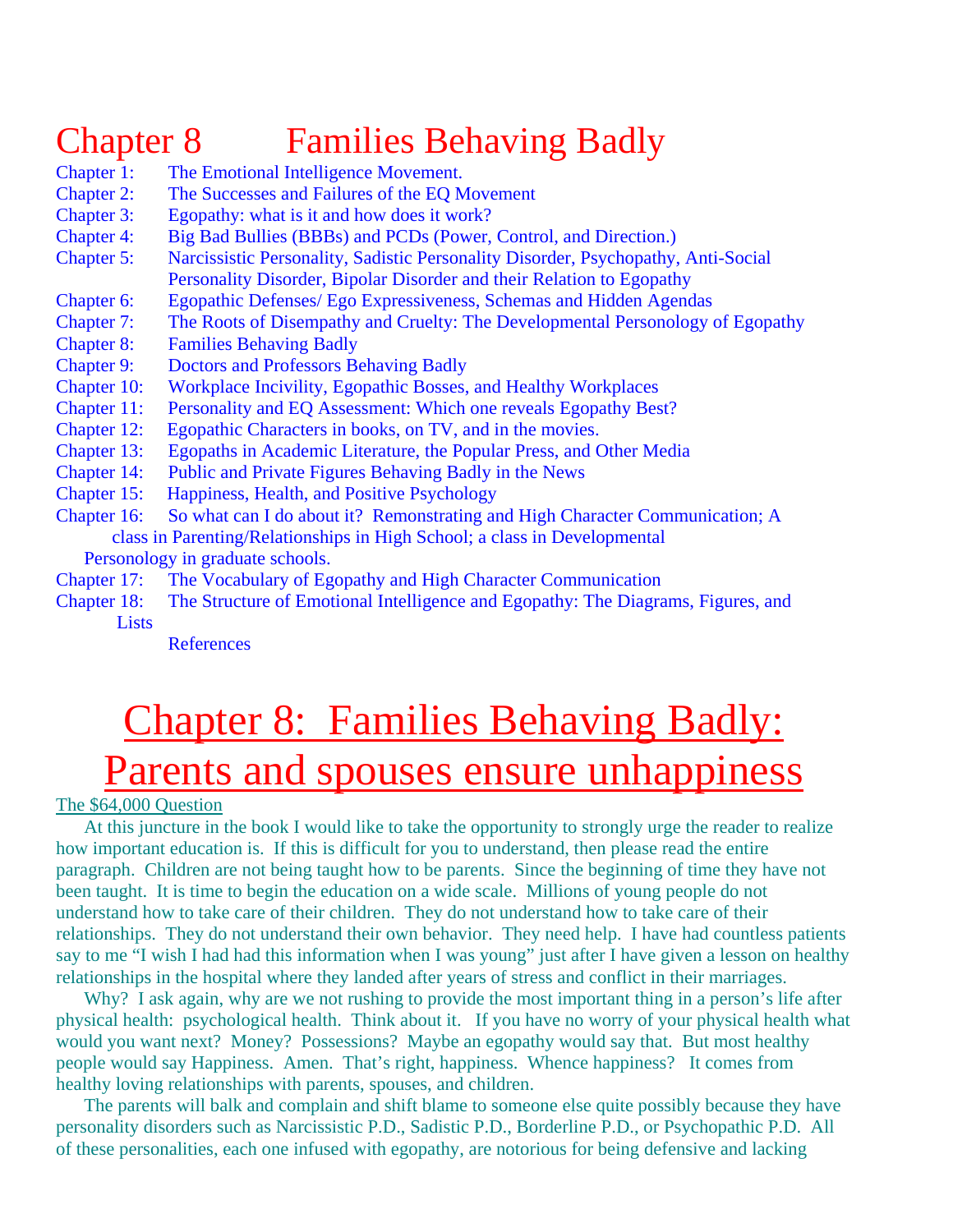## Chapter 8 Families Behaving Badly

- Chapter 1: The Emotional Intelligence Movement.
- Chapter 2: The Successes and Failures of the EQ Movement
- Chapter 3: Egopathy: what is it and how does it work?
- Chapter 4: Big Bad Bullies (BBBs) and PCDs (Power, Control, and Direction.)
- Chapter 5: Narcissistic Personality, Sadistic Personality Disorder, Psychopathy, Anti-Social Personality Disorder, Bipolar Disorder and their Relation to Egopathy
- Chapter 6: Egopathic Defenses/ Ego Expressiveness, Schemas and Hidden Agendas
- Chapter 7: The Roots of Disempathy and Cruelty: The Developmental Personology of Egopathy
- Chapter 8: Families Behaving Badly
- Chapter 9: Doctors and Professors Behaving Badly
- Chapter 10: Workplace Incivility, Egopathic Bosses, and Healthy Workplaces
- Chapter 11: Personality and EQ Assessment: Which one reveals Egopathy Best?
- Chapter 12: Egopathic Characters in books, on TV, and in the movies.
- Chapter 13: Egopaths in Academic Literature, the Popular Press, and Other Media
- Chapter 14: Public and Private Figures Behaving Badly in the News
- Chapter 15: Happiness, Health, and Positive Psychology
- Chapter 16: So what can I do about it? Remonstrating and High Character Communication; A class in Parenting/Relationships in High School; a class in Developmental

Personology in graduate schools.

- Chapter 17: The Vocabulary of Egopathy and High Character Communication
- Chapter 18: The Structure of Emotional Intelligence and Egopathy: The Diagrams, Figures, and Lists

**References** 

# Chapter 8: Families Behaving Badly: Parents and spouses ensure unhappiness

The \$64,000 Question

 At this juncture in the book I would like to take the opportunity to strongly urge the reader to realize how important education is. If this is difficult for you to understand, then please read the entire paragraph. Children are not being taught how to be parents. Since the beginning of time they have not been taught. It is time to begin the education on a wide scale. Millions of young people do not understand how to take care of their children. They do not understand how to take care of their relationships. They do not understand their own behavior. They need help. I have had countless patients say to me "I wish I had had this information when I was young" just after I have given a lesson on healthy relationships in the hospital where they landed after years of stress and conflict in their marriages.

Why? I ask again, why are we not rushing to provide the most important thing in a person's life after physical health: psychological health. Think about it. If you have no worry of your physical health what would you want next? Money? Possessions? Maybe an egopathy would say that. But most healthy people would say Happiness. Amen. That's right, happiness. Whence happiness? It comes from healthy loving relationships with parents, spouses, and children.

 The parents will balk and complain and shift blame to someone else quite possibly because they have personality disorders such as Narcissistic P.D., Sadistic P.D., Borderline P.D., or Psychopathic P.D. All of these personalities, each one infused with egopathy, are notorious for being defensive and lacking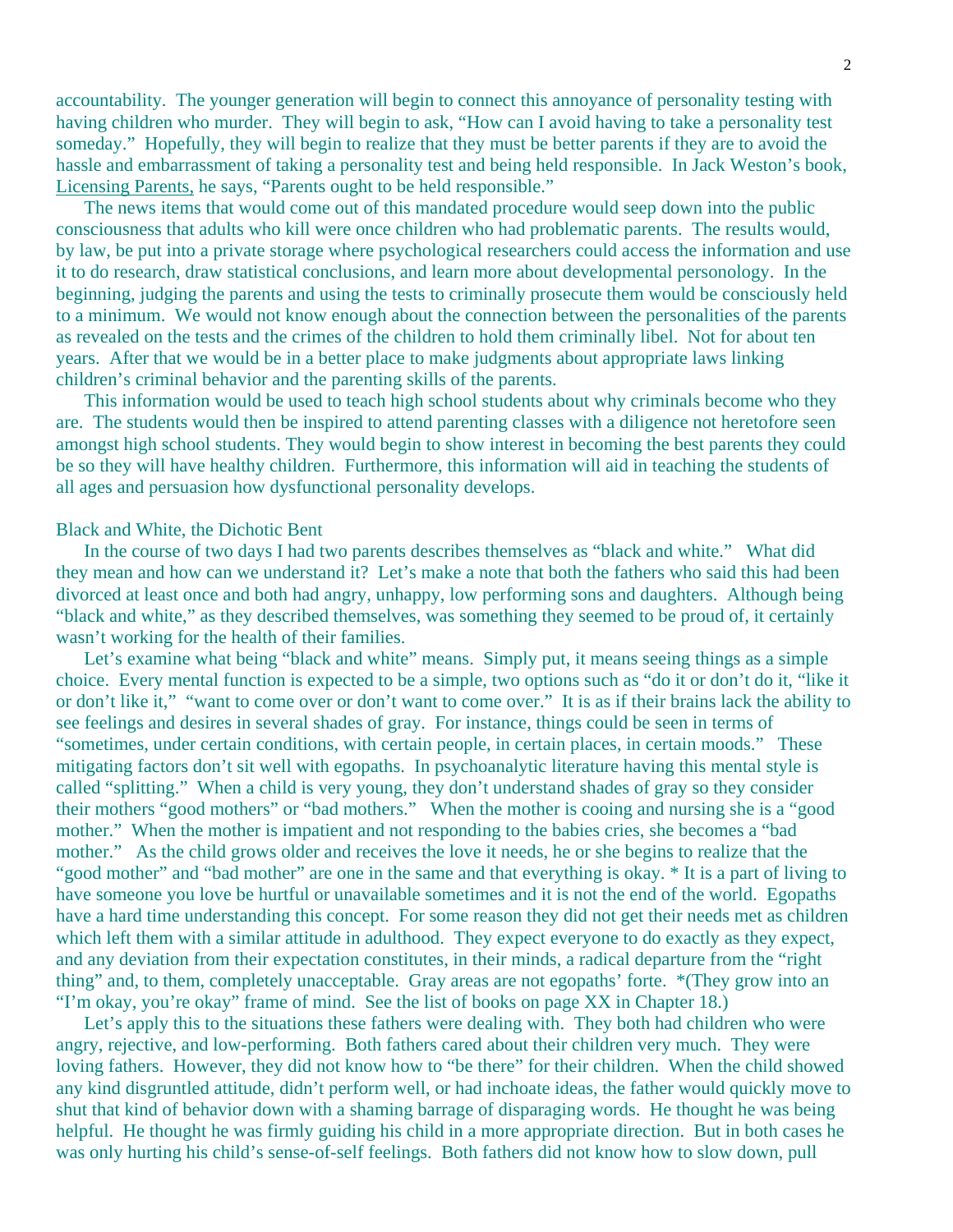accountability. The younger generation will begin to connect this annoyance of personality testing with having children who murder. They will begin to ask, "How can I avoid having to take a personality test someday." Hopefully, they will begin to realize that they must be better parents if they are to avoid the hassle and embarrassment of taking a personality test and being held responsible. In Jack Weston's book, Licensing Parents, he says, "Parents ought to be held responsible."

 The news items that would come out of this mandated procedure would seep down into the public consciousness that adults who kill were once children who had problematic parents. The results would, by law, be put into a private storage where psychological researchers could access the information and use it to do research, draw statistical conclusions, and learn more about developmental personology. In the beginning, judging the parents and using the tests to criminally prosecute them would be consciously held to a minimum. We would not know enough about the connection between the personalities of the parents as revealed on the tests and the crimes of the children to hold them criminally libel. Not for about ten years. After that we would be in a better place to make judgments about appropriate laws linking children's criminal behavior and the parenting skills of the parents.

 This information would be used to teach high school students about why criminals become who they are. The students would then be inspired to attend parenting classes with a diligence not heretofore seen amongst high school students. They would begin to show interest in becoming the best parents they could be so they will have healthy children. Furthermore, this information will aid in teaching the students of all ages and persuasion how dysfunctional personality develops.

#### Black and White, the Dichotic Bent

 In the course of two days I had two parents describes themselves as "black and white." What did they mean and how can we understand it? Let's make a note that both the fathers who said this had been divorced at least once and both had angry, unhappy, low performing sons and daughters. Although being "black and white," as they described themselves, was something they seemed to be proud of, it certainly wasn't working for the health of their families.

Let's examine what being "black and white" means. Simply put, it means seeing things as a simple choice. Every mental function is expected to be a simple, two options such as "do it or don't do it, "like it or don't like it," "want to come over or don't want to come over." It is as if their brains lack the ability to see feelings and desires in several shades of gray. For instance, things could be seen in terms of "sometimes, under certain conditions, with certain people, in certain places, in certain moods." These mitigating factors don't sit well with egopaths. In psychoanalytic literature having this mental style is called "splitting." When a child is very young, they don't understand shades of gray so they consider their mothers "good mothers" or "bad mothers." When the mother is cooing and nursing she is a "good mother." When the mother is impatient and not responding to the babies cries, she becomes a "bad mother." As the child grows older and receives the love it needs, he or she begins to realize that the "good mother" and "bad mother" are one in the same and that everything is okay. \* It is a part of living to have someone you love be hurtful or unavailable sometimes and it is not the end of the world. Egopaths have a hard time understanding this concept. For some reason they did not get their needs met as children which left them with a similar attitude in adulthood. They expect everyone to do exactly as they expect, and any deviation from their expectation constitutes, in their minds, a radical departure from the "right thing" and, to them, completely unacceptable. Gray areas are not egopaths' forte. \*(They grow into an "I'm okay, you're okay" frame of mind. See the list of books on page XX in Chapter 18.)

Let's apply this to the situations these fathers were dealing with. They both had children who were angry, rejective, and low-performing. Both fathers cared about their children very much. They were loving fathers. However, they did not know how to "be there" for their children. When the child showed any kind disgruntled attitude, didn't perform well, or had inchoate ideas, the father would quickly move to shut that kind of behavior down with a shaming barrage of disparaging words. He thought he was being helpful. He thought he was firmly guiding his child in a more appropriate direction. But in both cases he was only hurting his child's sense-of-self feelings. Both fathers did not know how to slow down, pull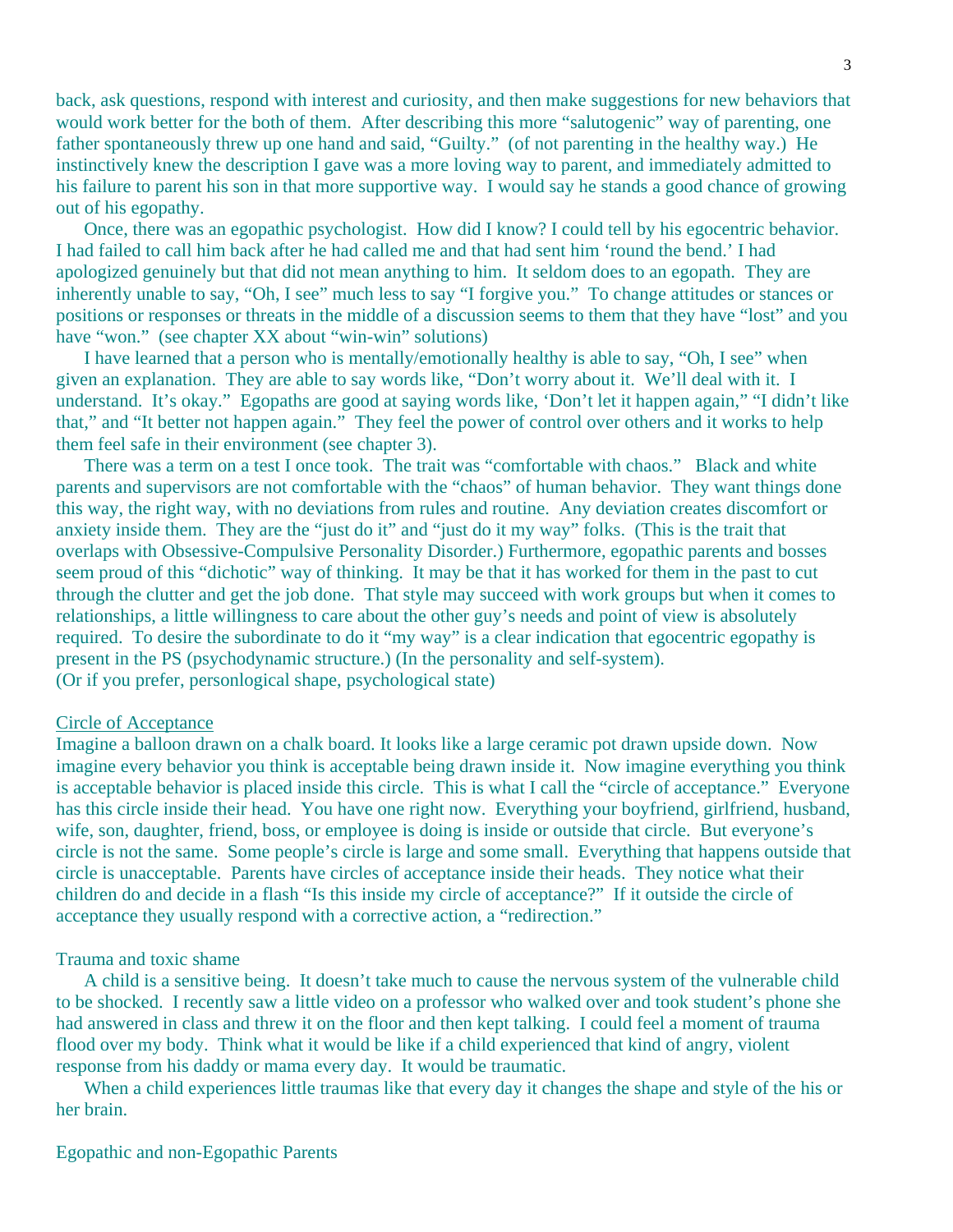back, ask questions, respond with interest and curiosity, and then make suggestions for new behaviors that would work better for the both of them. After describing this more "salutogenic" way of parenting, one father spontaneously threw up one hand and said, "Guilty." (of not parenting in the healthy way.) He instinctively knew the description I gave was a more loving way to parent, and immediately admitted to his failure to parent his son in that more supportive way. I would say he stands a good chance of growing out of his egopathy.

 Once, there was an egopathic psychologist. How did I know? I could tell by his egocentric behavior. I had failed to call him back after he had called me and that had sent him 'round the bend.' I had apologized genuinely but that did not mean anything to him. It seldom does to an egopath. They are inherently unable to say, "Oh, I see" much less to say "I forgive you." To change attitudes or stances or positions or responses or threats in the middle of a discussion seems to them that they have "lost" and you have "won." (see chapter XX about "win-win" solutions)

 I have learned that a person who is mentally/emotionally healthy is able to say, "Oh, I see" when given an explanation. They are able to say words like, "Don't worry about it. We'll deal with it. I understand. It's okay." Egopaths are good at saying words like, 'Don't let it happen again," "I didn't like that," and "It better not happen again." They feel the power of control over others and it works to help them feel safe in their environment (see chapter 3).

 There was a term on a test I once took. The trait was "comfortable with chaos." Black and white parents and supervisors are not comfortable with the "chaos" of human behavior. They want things done this way, the right way, with no deviations from rules and routine. Any deviation creates discomfort or anxiety inside them. They are the "just do it" and "just do it my way" folks. (This is the trait that overlaps with Obsessive-Compulsive Personality Disorder.) Furthermore, egopathic parents and bosses seem proud of this "dichotic" way of thinking. It may be that it has worked for them in the past to cut through the clutter and get the job done. That style may succeed with work groups but when it comes to relationships, a little willingness to care about the other guy's needs and point of view is absolutely required. To desire the subordinate to do it "my way" is a clear indication that egocentric egopathy is present in the PS (psychodynamic structure.) (In the personality and self-system). (Or if you prefer, personlogical shape, psychological state)

#### Circle of Acceptance

Imagine a balloon drawn on a chalk board. It looks like a large ceramic pot drawn upside down. Now imagine every behavior you think is acceptable being drawn inside it. Now imagine everything you think is acceptable behavior is placed inside this circle. This is what I call the "circle of acceptance." Everyone has this circle inside their head. You have one right now. Everything your boyfriend, girlfriend, husband, wife, son, daughter, friend, boss, or employee is doing is inside or outside that circle. But everyone's circle is not the same. Some people's circle is large and some small. Everything that happens outside that circle is unacceptable. Parents have circles of acceptance inside their heads. They notice what their children do and decide in a flash "Is this inside my circle of acceptance?" If it outside the circle of acceptance they usually respond with a corrective action, a "redirection."

#### Trauma and toxic shame

 A child is a sensitive being. It doesn't take much to cause the nervous system of the vulnerable child to be shocked. I recently saw a little video on a professor who walked over and took student's phone she had answered in class and threw it on the floor and then kept talking. I could feel a moment of trauma flood over my body. Think what it would be like if a child experienced that kind of angry, violent response from his daddy or mama every day. It would be traumatic.

 When a child experiences little traumas like that every day it changes the shape and style of the his or her brain.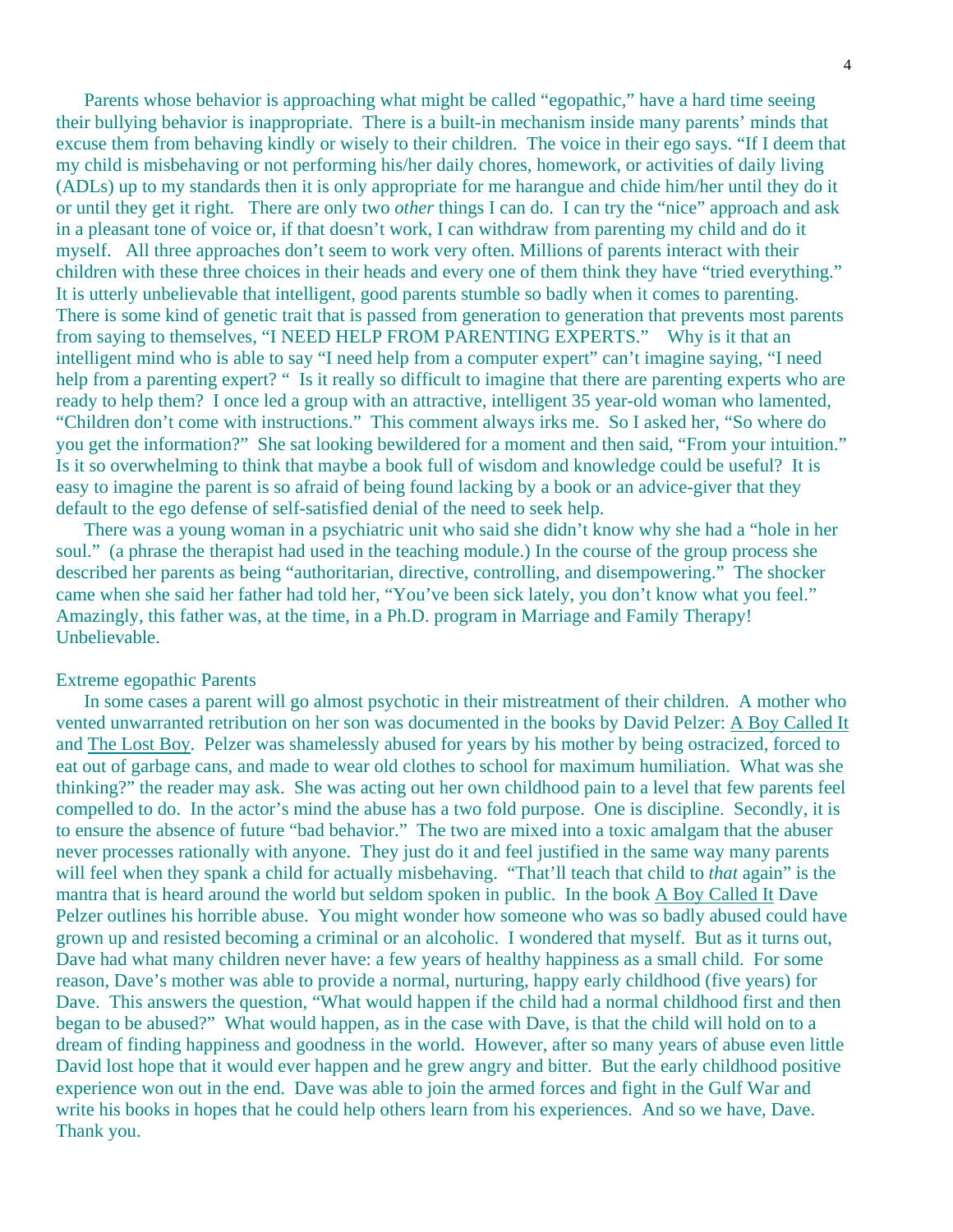Parents whose behavior is approaching what might be called "egopathic," have a hard time seeing their bullying behavior is inappropriate. There is a built-in mechanism inside many parents' minds that excuse them from behaving kindly or wisely to their children. The voice in their ego says. "If I deem that my child is misbehaving or not performing his/her daily chores, homework, or activities of daily living (ADLs) up to my standards then it is only appropriate for me harangue and chide him/her until they do it or until they get it right. There are only two *other* things I can do. I can try the "nice" approach and ask in a pleasant tone of voice or, if that doesn't work, I can withdraw from parenting my child and do it myself. All three approaches don't seem to work very often. Millions of parents interact with their children with these three choices in their heads and every one of them think they have "tried everything." It is utterly unbelievable that intelligent, good parents stumble so badly when it comes to parenting. There is some kind of genetic trait that is passed from generation to generation that prevents most parents from saying to themselves, "I NEED HELP FROM PARENTING EXPERTS." Why is it that an intelligent mind who is able to say "I need help from a computer expert" can't imagine saying, "I need help from a parenting expert? " Is it really so difficult to imagine that there are parenting experts who are ready to help them? I once led a group with an attractive, intelligent 35 year-old woman who lamented, "Children don't come with instructions." This comment always irks me. So I asked her, "So where do you get the information?" She sat looking bewildered for a moment and then said, "From your intuition." Is it so overwhelming to think that maybe a book full of wisdom and knowledge could be useful? It is easy to imagine the parent is so afraid of being found lacking by a book or an advice-giver that they default to the ego defense of self-satisfied denial of the need to seek help.

 There was a young woman in a psychiatric unit who said she didn't know why she had a "hole in her soul." (a phrase the therapist had used in the teaching module.) In the course of the group process she described her parents as being "authoritarian, directive, controlling, and disempowering." The shocker came when she said her father had told her, "You've been sick lately, you don't know what you feel." Amazingly, this father was, at the time, in a Ph.D. program in Marriage and Family Therapy! Unbelievable.

#### Extreme egopathic Parents

 In some cases a parent will go almost psychotic in their mistreatment of their children. A mother who vented unwarranted retribution on her son was documented in the books by David Pelzer: A Boy Called It and The Lost Boy. Pelzer was shamelessly abused for years by his mother by being ostracized, forced to eat out of garbage cans, and made to wear old clothes to school for maximum humiliation. What was she thinking?" the reader may ask. She was acting out her own childhood pain to a level that few parents feel compelled to do. In the actor's mind the abuse has a two fold purpose. One is discipline. Secondly, it is to ensure the absence of future "bad behavior." The two are mixed into a toxic amalgam that the abuser never processes rationally with anyone. They just do it and feel justified in the same way many parents will feel when they spank a child for actually misbehaving. "That'll teach that child to *that* again" is the mantra that is heard around the world but seldom spoken in public. In the book A Boy Called It Dave Pelzer outlines his horrible abuse. You might wonder how someone who was so badly abused could have grown up and resisted becoming a criminal or an alcoholic. I wondered that myself. But as it turns out, Dave had what many children never have: a few years of healthy happiness as a small child. For some reason, Dave's mother was able to provide a normal, nurturing, happy early childhood (five years) for Dave. This answers the question, "What would happen if the child had a normal childhood first and then began to be abused?" What would happen, as in the case with Dave, is that the child will hold on to a dream of finding happiness and goodness in the world. However, after so many years of abuse even little David lost hope that it would ever happen and he grew angry and bitter. But the early childhood positive experience won out in the end. Dave was able to join the armed forces and fight in the Gulf War and write his books in hopes that he could help others learn from his experiences. And so we have, Dave. Thank you.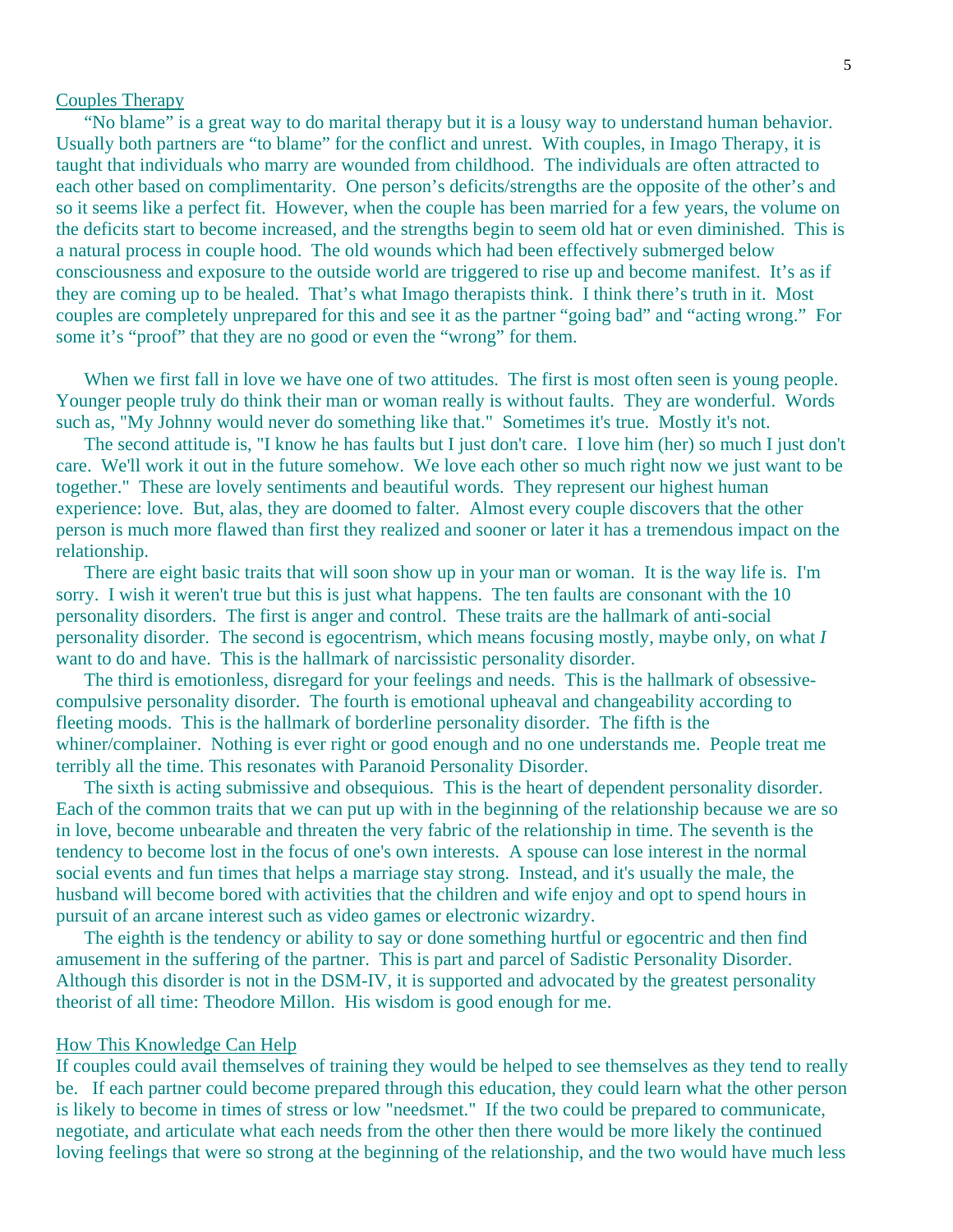### Couples Therapy

 "No blame" is a great way to do marital therapy but it is a lousy way to understand human behavior. Usually both partners are "to blame" for the conflict and unrest. With couples, in Imago Therapy, it is taught that individuals who marry are wounded from childhood. The individuals are often attracted to each other based on complimentarity. One person's deficits/strengths are the opposite of the other's and so it seems like a perfect fit. However, when the couple has been married for a few years, the volume on the deficits start to become increased, and the strengths begin to seem old hat or even diminished. This is a natural process in couple hood. The old wounds which had been effectively submerged below consciousness and exposure to the outside world are triggered to rise up and become manifest. It's as if they are coming up to be healed. That's what Imago therapists think. I think there's truth in it. Most couples are completely unprepared for this and see it as the partner "going bad" and "acting wrong." For some it's "proof" that they are no good or even the "wrong" for them.

When we first fall in love we have one of two attitudes. The first is most often seen is young people. Younger people truly do think their man or woman really is without faults. They are wonderful. Words such as, "My Johnny would never do something like that." Sometimes it's true. Mostly it's not.

 The second attitude is, "I know he has faults but I just don't care. I love him (her) so much I just don't care. We'll work it out in the future somehow. We love each other so much right now we just want to be together." These are lovely sentiments and beautiful words. They represent our highest human experience: love. But, alas, they are doomed to falter. Almost every couple discovers that the other person is much more flawed than first they realized and sooner or later it has a tremendous impact on the relationship.

 There are eight basic traits that will soon show up in your man or woman. It is the way life is. I'm sorry. I wish it weren't true but this is just what happens. The ten faults are consonant with the 10 personality disorders. The first is anger and control. These traits are the hallmark of anti-social personality disorder. The second is egocentrism, which means focusing mostly, maybe only, on what *I* want to do and have. This is the hallmark of narcissistic personality disorder.

 The third is emotionless, disregard for your feelings and needs. This is the hallmark of obsessivecompulsive personality disorder. The fourth is emotional upheaval and changeability according to fleeting moods. This is the hallmark of borderline personality disorder. The fifth is the whiner/complainer. Nothing is ever right or good enough and no one understands me. People treat me terribly all the time. This resonates with Paranoid Personality Disorder.

 The sixth is acting submissive and obsequious. This is the heart of dependent personality disorder. Each of the common traits that we can put up with in the beginning of the relationship because we are so in love, become unbearable and threaten the very fabric of the relationship in time. The seventh is the tendency to become lost in the focus of one's own interests. A spouse can lose interest in the normal social events and fun times that helps a marriage stay strong. Instead, and it's usually the male, the husband will become bored with activities that the children and wife enjoy and opt to spend hours in pursuit of an arcane interest such as video games or electronic wizardry.

 The eighth is the tendency or ability to say or done something hurtful or egocentric and then find amusement in the suffering of the partner. This is part and parcel of Sadistic Personality Disorder. Although this disorder is not in the DSM-IV, it is supported and advocated by the greatest personality theorist of all time: Theodore Millon. His wisdom is good enough for me.

#### How This Knowledge Can Help

If couples could avail themselves of training they would be helped to see themselves as they tend to really be. If each partner could become prepared through this education, they could learn what the other person is likely to become in times of stress or low "needsmet." If the two could be prepared to communicate, negotiate, and articulate what each needs from the other then there would be more likely the continued loving feelings that were so strong at the beginning of the relationship, and the two would have much less